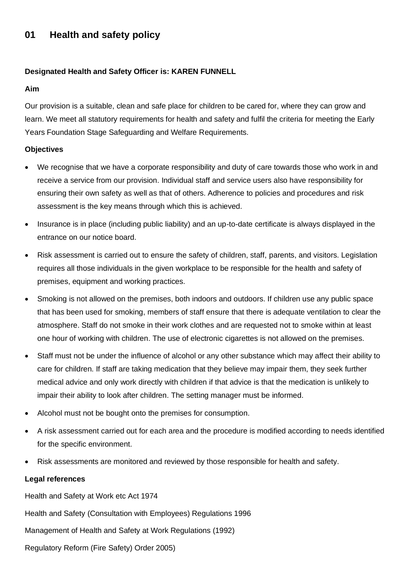# **01 Health and safety policy**

## **Designated Health and Safety Officer is: KAREN FUNNELL**

#### **Aim**

Our provision is a suitable, clean and safe place for children to be cared for, where they can grow and learn. We meet all statutory requirements for health and safety and fulfil the criteria for meeting the Early Years Foundation Stage Safeguarding and Welfare Requirements.

# **Objectives**

- We recognise that we have a corporate responsibility and duty of care towards those who work in and receive a service from our provision. Individual staff and service users also have responsibility for ensuring their own safety as well as that of others. Adherence to policies and procedures and risk assessment is the key means through which this is achieved.
- Insurance is in place (including public liability) and an up-to-date certificate is always displayed in the entrance on our notice board.
- Risk assessment is carried out to ensure the safety of children, staff, parents, and visitors. Legislation requires all those individuals in the given workplace to be responsible for the health and safety of premises, equipment and working practices.
- Smoking is not allowed on the premises, both indoors and outdoors. If children use any public space that has been used for smoking, members of staff ensure that there is adequate ventilation to clear the atmosphere. Staff do not smoke in their work clothes and are requested not to smoke within at least one hour of working with children. The use of electronic cigarettes is not allowed on the premises.
- Staff must not be under the influence of alcohol or any other substance which may affect their ability to care for children. If staff are taking medication that they believe may impair them, they seek further medical advice and only work directly with children if that advice is that the medication is unlikely to impair their ability to look after children. The setting manager must be informed.
- Alcohol must not be bought onto the premises for consumption.
- A risk assessment carried out for each area and the procedure is modified according to needs identified for the specific environment.
- Risk assessments are monitored and reviewed by those responsible for health and safety.

## **Legal references**

Health and Safety at Work etc Act 1974

Health and Safety (Consultation with Employees) Regulations 1996

Management of Health and Safety at Work Regulations (1992)

Regulatory Reform (Fire Safety) Order 2005)